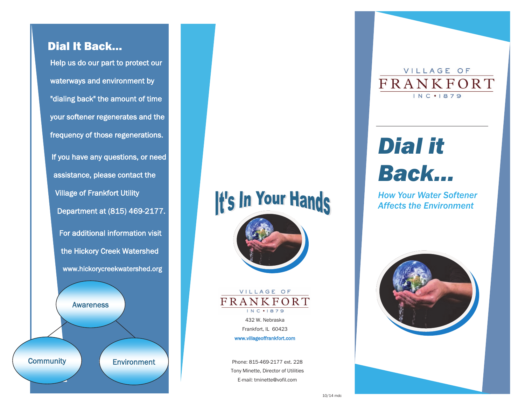## Dial It Back…

Help us do our part to protect our waterways and environment by "dialing back" the amount of time your softener regenerates and the frequency of those regenerations. If you have any questions, or need assistance, please contact the Village of Frankfort Utility Department at (815) 469-2177. For additional information visit the Hickory Creek Watershed www.hickorycreekwatershed.org Environment Awareness **Community** 

# It's In Your Hands





www.villageoffrankfort.com

Phone: 815-469-2177 ext. 228 Tony Minette, Director of Utilities E-mail: tminette@vofil.com

VILLAGE OF FRANKFORT INC . 1879

## *Dial it Back…*

*How Your Water Softener Affects the Environment*